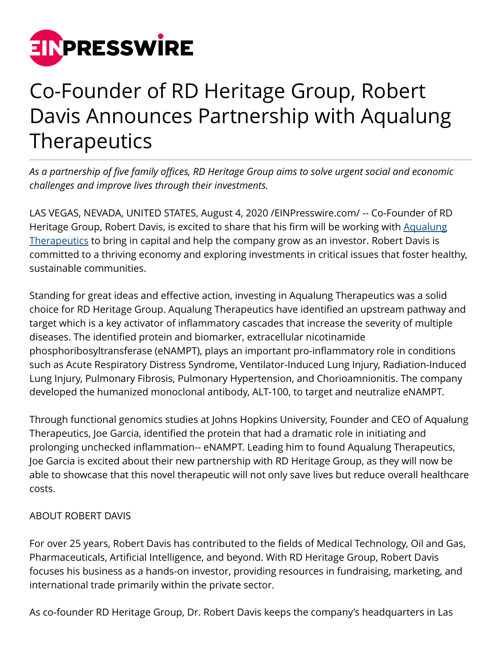

## Co-Founder of RD Heritage Group, Robert Davis Announces Partnership with Aqualung Therapeutics

*As a partnership of five family offices, RD Heritage Group aims to solve urgent social and economic challenges and improve lives through their investments.*

LAS VEGAS, NEVADA, UNITED STATES, August 4, 2020 [/EINPresswire.com/](http://www.einpresswire.com) -- Co-Founder of RD Heritage Group, Robert Davis, is excited to share that his firm will be working with [Aqualung](https://www.aqualungtherapeutics.com/) [Therapeutics](https://www.aqualungtherapeutics.com/) to bring in capital and help the company grow as an investor. Robert Davis is committed to a thriving economy and exploring investments in critical issues that foster healthy, sustainable communities.

Standing for great ideas and effective action, investing in Aqualung Therapeutics was a solid choice for RD Heritage Group. Aqualung Therapeutics have identified an upstream pathway and target which is a key activator of inflammatory cascades that increase the severity of multiple diseases. The identified protein and biomarker, extracellular nicotinamide phosphoribosyltransferase (eNAMPT), plays an important pro-inflammatory role in conditions such as Acute Respiratory Distress Syndrome, Ventilator-Induced Lung Injury, Radiation-Induced Lung Injury, Pulmonary Fibrosis, Pulmonary Hypertension, and Chorioamnionitis. The company developed the humanized monoclonal antibody, ALT-100, to target and neutralize eNAMPT.

Through functional genomics studies at Johns Hopkins University, Founder and CEO of Aqualung Therapeutics, Joe Garcia, identified the protein that had a dramatic role in initiating and prolonging unchecked inflammation-- eNAMPT. Leading him to found Aqualung Therapeutics, Joe Garcia is excited about their new partnership with RD Heritage Group, as they will now be able to showcase that this novel therapeutic will not only save lives but reduce overall healthcare costs.

## ABOUT ROBERT DAVIS

For over 25 years, Robert Davis has contributed to the fields of Medical Technology, Oil and Gas, Pharmaceuticals, Artificial Intelligence, and beyond. With RD Heritage Group, Robert Davis focuses his business as a hands-on investor, providing resources in fundraising, marketing, and international trade primarily within the private sector.

As co-founder RD Heritage Group, Dr. Robert Davis keeps the company's headquarters in Las